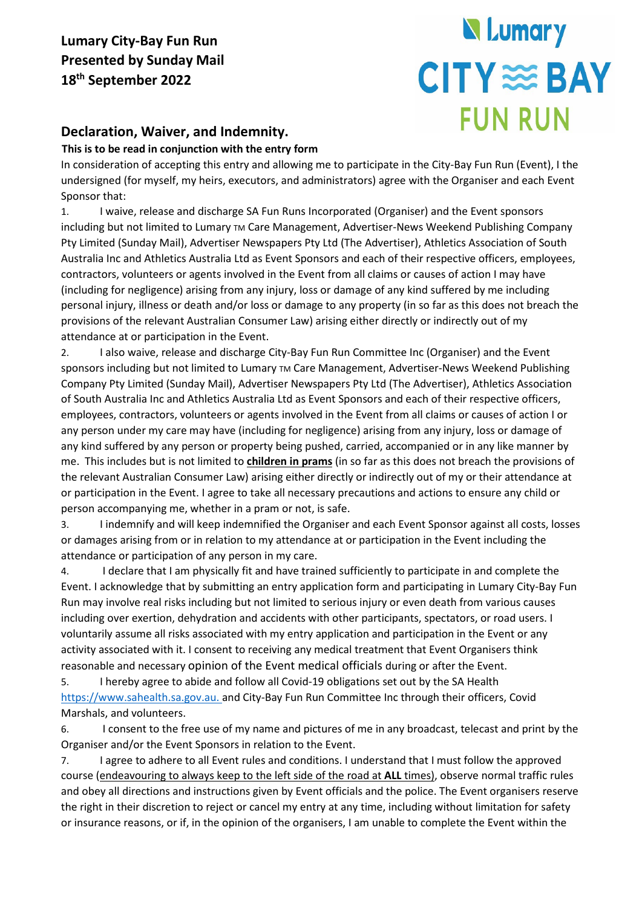# **N** Lumary **CITY SEBAY FUN RUN**

### **Declaration, Waiver, and Indemnity.**

#### **This is to be read in conjunction with the entry form**

In consideration of accepting this entry and allowing me to participate in the City-Bay Fun Run (Event), I the undersigned (for myself, my heirs, executors, and administrators) agree with the Organiser and each Event Sponsor that:

1. I waive, release and discharge SA Fun Runs Incorporated (Organiser) and the Event sponsors including but not limited to Lumary TM Care Management, Advertiser-News Weekend Publishing Company Pty Limited (Sunday Mail), Advertiser Newspapers Pty Ltd (The Advertiser), Athletics Association of South Australia Inc and Athletics Australia Ltd as Event Sponsors and each of their respective officers, employees, contractors, volunteers or agents involved in the Event from all claims or causes of action I may have (including for negligence) arising from any injury, loss or damage of any kind suffered by me including personal injury, illness or death and/or loss or damage to any property (in so far as this does not breach the provisions of the relevant Australian Consumer Law) arising either directly or indirectly out of my attendance at or participation in the Event.

2. I also waive, release and discharge City-Bay Fun Run Committee Inc (Organiser) and the Event sponsors including but not limited to Lumary TM Care Management, Advertiser-News Weekend Publishing Company Pty Limited (Sunday Mail), Advertiser Newspapers Pty Ltd (The Advertiser), Athletics Association of South Australia Inc and Athletics Australia Ltd as Event Sponsors and each of their respective officers, employees, contractors, volunteers or agents involved in the Event from all claims or causes of action I or any person under my care may have (including for negligence) arising from any injury, loss or damage of any kind suffered by any person or property being pushed, carried, accompanied or in any like manner by me. This includes but is not limited to **children in prams** (in so far as this does not breach the provisions of the relevant Australian Consumer Law) arising either directly or indirectly out of my or their attendance at or participation in the Event. I agree to take all necessary precautions and actions to ensure any child or person accompanying me, whether in a pram or not, is safe.

3. I indemnify and will keep indemnified the Organiser and each Event Sponsor against all costs, losses or damages arising from or in relation to my attendance at or participation in the Event including the attendance or participation of any person in my care.

4. I declare that I am physically fit and have trained sufficiently to participate in and complete the Event. I acknowledge that by submitting an entry application form and participating in Lumary City-Bay Fun Run may involve real risks including but not limited to serious injury or even death from various causes including over exertion, dehydration and accidents with other participants, spectators, or road users. I voluntarily assume all risks associated with my entry application and participation in the Event or any activity associated with it. I consent to receiving any medical treatment that Event Organisers think reasonable and necessary opinion of the Event medical officials during or after the Event.

5. I hereby agree to abide and follow all Covid-19 obligations set out by the SA Health [https://www.sahealth.sa.gov.au.](https://www.sahealth.sa.gov.au/) and City-Bay Fun Run Committee Inc through their officers, Covid Marshals, and volunteers.

6. I consent to the free use of my name and pictures of me in any broadcast, telecast and print by the Organiser and/or the Event Sponsors in relation to the Event.

7. I agree to adhere to all Event rules and conditions. I understand that I must follow the approved course (endeavouring to always keep to the left side of the road at **ALL** times), observe normal traffic rules and obey all directions and instructions given by Event officials and the police. The Event organisers reserve the right in their discretion to reject or cancel my entry at any time, including without limitation for safety or insurance reasons, or if, in the opinion of the organisers, I am unable to complete the Event within the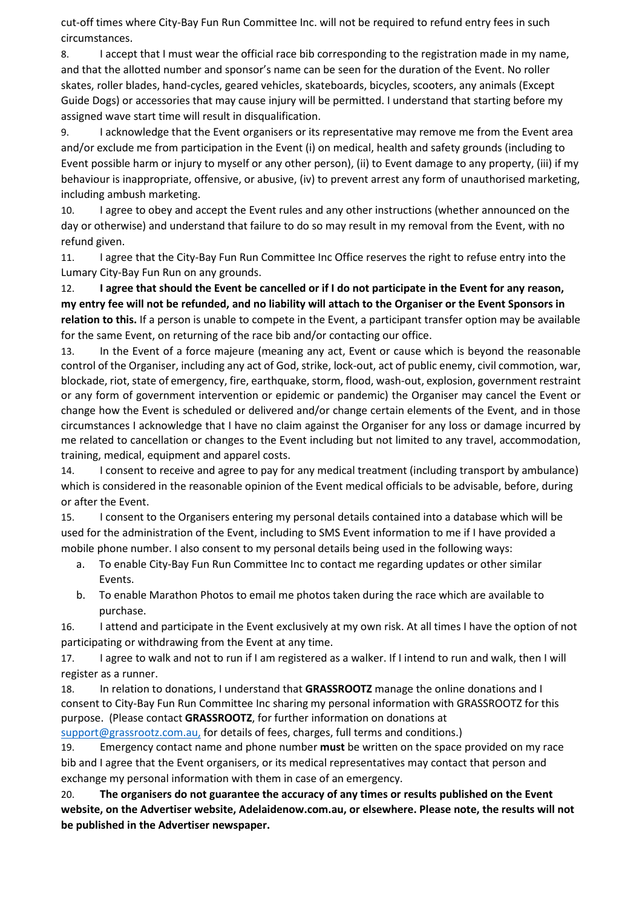cut-off times where City-Bay Fun Run Committee Inc. will not be required to refund entry fees in such circumstances.

8. I accept that I must wear the official race bib corresponding to the registration made in my name, and that the allotted number and sponsor's name can be seen for the duration of the Event. No roller skates, roller blades, hand-cycles, geared vehicles, skateboards, bicycles, scooters, any animals (Except Guide Dogs) or accessories that may cause injury will be permitted. I understand that starting before my assigned wave start time will result in disqualification.

9. I acknowledge that the Event organisers or its representative may remove me from the Event area and/or exclude me from participation in the Event (i) on medical, health and safety grounds (including to Event possible harm or injury to myself or any other person), (ii) to Event damage to any property, (iii) if my behaviour is inappropriate, offensive, or abusive, (iv) to prevent arrest any form of unauthorised marketing, including ambush marketing.

10. I agree to obey and accept the Event rules and any other instructions (whether announced on the day or otherwise) and understand that failure to do so may result in my removal from the Event, with no refund given.

11. I agree that the City-Bay Fun Run Committee Inc Office reserves the right to refuse entry into the Lumary City-Bay Fun Run on any grounds.

12. **I agree that should the Event be cancelled or if I do not participate in the Event for any reason, my entry fee will not be refunded, and no liability will attach to the Organiser or the Event Sponsors in relation to this.** If a person is unable to compete in the Event, a participant transfer option may be available for the same Event, on returning of the race bib and/or contacting our office.

13. In the Event of a force majeure (meaning any act, Event or cause which is beyond the reasonable control of the Organiser, including any act of God, strike, lock-out, act of public enemy, civil commotion, war, blockade, riot, state of emergency, fire, earthquake, storm, flood, wash-out, explosion, government restraint or any form of government intervention or epidemic or pandemic) the Organiser may cancel the Event or change how the Event is scheduled or delivered and/or change certain elements of the Event, and in those circumstances I acknowledge that I have no claim against the Organiser for any loss or damage incurred by me related to cancellation or changes to the Event including but not limited to any travel, accommodation, training, medical, equipment and apparel costs.

14. I consent to receive and agree to pay for any medical treatment (including transport by ambulance) which is considered in the reasonable opinion of the Event medical officials to be advisable, before, during or after the Event.

15. I consent to the Organisers entering my personal details contained into a database which will be used for the administration of the Event, including to SMS Event information to me if I have provided a mobile phone number. I also consent to my personal details being used in the following ways:

- a. To enable City-Bay Fun Run Committee Inc to contact me regarding updates or other similar Events.
- b. To enable Marathon Photos to email me photos taken during the race which are available to purchase.

16. I attend and participate in the Event exclusively at my own risk. At all times I have the option of not participating or withdrawing from the Event at any time.

17. I agree to walk and not to run if I am registered as a walker. If I intend to run and walk, then I will register as a runner.

18. In relation to donations, I understand that **GRASSROOTZ** manage the online donations and I consent to City-Bay Fun Run Committee Inc sharing my personal information with GRASSROOTZ for this [purpose. \(Please contact](http://www.everydayhero.com.au/help/home) **GRASSROOTZ**, for further information on donations at [support@grassrootz.com.au,](mailto:support@grassrootz.com.au,) [for](http://www.everydayhero.com.au/help/home) [details](http://www.everydayhero.com.au/help/home) [of](http://www.everydayhero.com.au/help/home) [fees, charges,](http://www.everydayhero.com.au/help/home) [full](http://www.everydayhero.com.au/help/home) [terms](http://www.everydayhero.com.au/help/home) [and](http://www.everydayhero.com.au/help/home) [conditions.\)](http://www.everydayhero.com.au/help/home)

19. Emergency contact name and phone number **must** be written on the space provided on my race bib and I agree that the Event organisers, or its medical representatives may contact that person and exchange my personal information with them in case of an emergency.

20. **The organisers do not guarantee the accuracy of any times or results published on the Event website, on the Advertiser website, Adelaidenow.com.au, or elsewhere. Please note, the results will not be published in the Advertiser newspaper.**